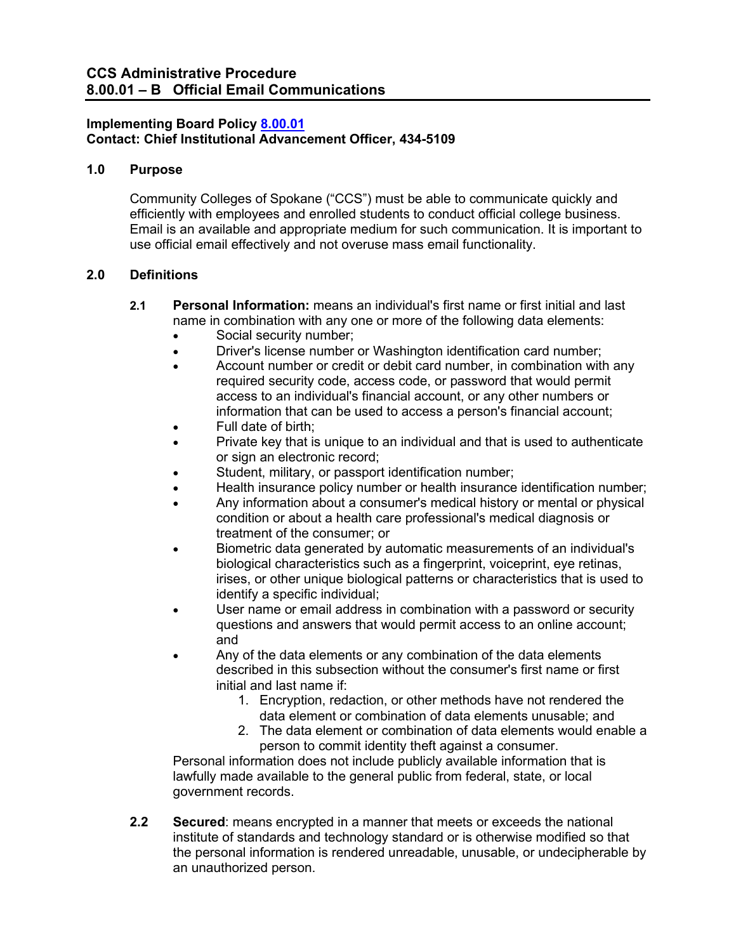## **Implementing Board Policy [8.00.01](https://ccs.spokane.edu/About-Us/Leadership/Board-of-Trustees/Policies-Procedures/Chapter8) Contact: Chief Institutional Advancement Officer, 434-5109**

## **1.0 Purpose**

Community Colleges of Spokane ("CCS") must be able to communicate quickly and efficiently with employees and enrolled students to conduct official college business. Email is an available and appropriate medium for such communication. It is important to use official email effectively and not overuse mass email functionality.

## **2.0 Definitions**

- **2.1 Personal Information:** means an individual's first name or first initial and last name in combination with any one or more of the following data elements:
	- Social security number;
	- Driver's license number or Washington identification card number;
	- Account number or credit or debit card number, in combination with any required security code, access code, or password that would permit access to an individual's financial account, or any other numbers or information that can be used to access a person's financial account;
	- Full date of birth;
	- Private key that is unique to an individual and that is used to authenticate or sign an electronic record;
	- Student, military, or passport identification number;
	- Health insurance policy number or health insurance identification number;
	- Any information about a consumer's medical history or mental or physical condition or about a health care professional's medical diagnosis or treatment of the consumer; or
	- Biometric data generated by automatic measurements of an individual's biological characteristics such as a fingerprint, voiceprint, eye retinas, irises, or other unique biological patterns or characteristics that is used to identify a specific individual;
	- User name or email address in combination with a password or security questions and answers that would permit access to an online account; and
	- Any of the data elements or any combination of the data elements described in this subsection without the consumer's first name or first initial and last name if:
		- 1. Encryption, redaction, or other methods have not rendered the data element or combination of data elements unusable; and
		- 2. The data element or combination of data elements would enable a person to commit identity theft against a consumer.

Personal information does not include publicly available information that is lawfully made available to the general public from federal, state, or local government records.

**2.2 Secured**: means encrypted in a manner that meets or exceeds the national institute of standards and technology standard or is otherwise modified so that the personal information is rendered unreadable, unusable, or undecipherable by an unauthorized person.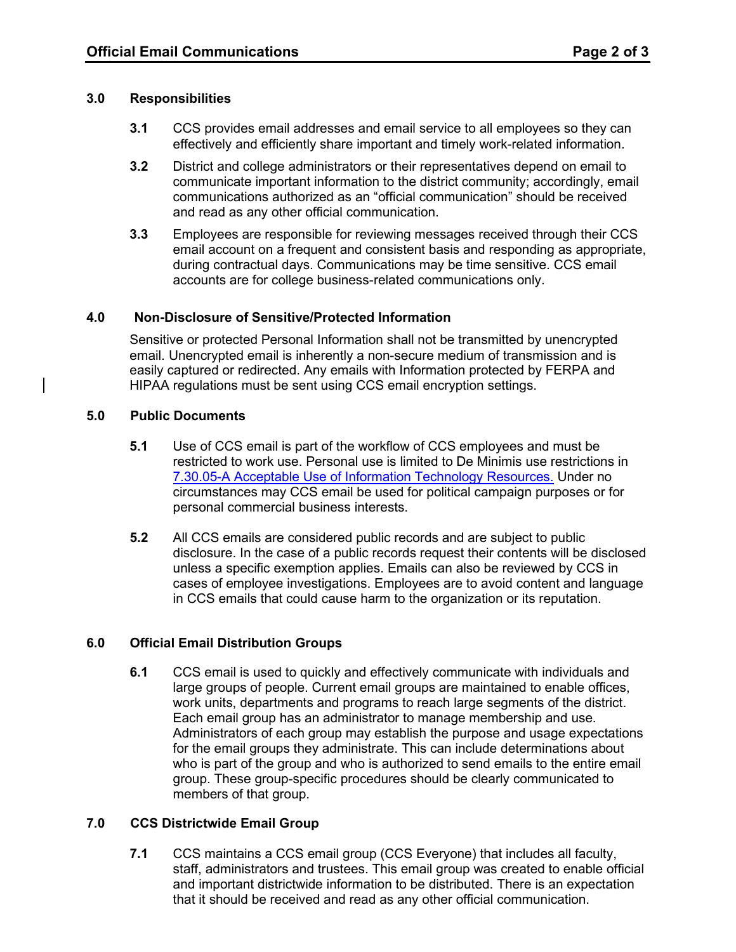#### **3.0 Responsibilities**

- **3.1** CCS provides email addresses and email service to all employees so they can effectively and efficiently share important and timely work-related information.
- **3.2** District and college administrators or their representatives depend on email to communicate important information to the district community; accordingly, email communications authorized as an "official communication" should be received and read as any other official communication.
- **3.3** Employees are responsible for reviewing messages received through their CCS email account on a frequent and consistent basis and responding as appropriate, during contractual days. Communications may be time sensitive. CCS email accounts are for college business-related communications only.

#### **4.0 Non-Disclosure of Sensitive/Protected Information**

Sensitive or protected Personal Information shall not be transmitted by unencrypted email. Unencrypted email is inherently a non-secure medium of transmission and is easily captured or redirected. Any emails with Information protected by FERPA and HIPAA regulations must be sent using CCS email encryption settings.

#### **5.0 Public Documents**

- **5.1** Use of CCS email is part of the workflow of CCS employees and must be restricted to work use. Personal use is limited to De Minimis use restrictions in [7.30.05-A Acceptable Use of Information Technology Resources.](https://ccs.spokane.edu/ccsglobal/media/Global/PDFs/District/Policies/CH7/7.30.05_AcceptUse/7-30-05A_AcceptableUse.pdf) Under no circumstances may CCS email be used for political campaign purposes or for personal commercial business interests.
- **5.2** All CCS emails are considered public records and are subject to public disclosure. In the case of a public records request their contents will be disclosed unless a specific exemption applies. Emails can also be reviewed by CCS in cases of employee investigations. Employees are to avoid content and language in CCS emails that could cause harm to the organization or its reputation.

## **6.0 Official Email Distribution Groups**

**6.1** CCS email is used to quickly and effectively communicate with individuals and large groups of people. Current email groups are maintained to enable offices, work units, departments and programs to reach large segments of the district. Each email group has an administrator to manage membership and use. Administrators of each group may establish the purpose and usage expectations for the email groups they administrate. This can include determinations about who is part of the group and who is authorized to send emails to the entire email group. These group-specific procedures should be clearly communicated to members of that group.

## **7.0 CCS Districtwide Email Group**

**7.1** CCS maintains a CCS email group (CCS Everyone) that includes all faculty, staff, administrators and trustees. This email group was created to enable official and important districtwide information to be distributed. There is an expectation that it should be received and read as any other official communication.